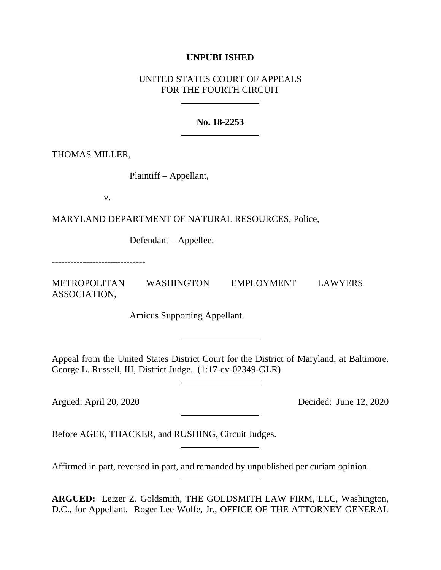# **UNPUBLISHED**

# UNITED STATES COURT OF APPEALS FOR THE FOURTH CIRCUIT

# **No. 18-2253**

THOMAS MILLER,

Plaintiff – Appellant,

v.

MARYLAND DEPARTMENT OF NATURAL RESOURCES, Police,

Defendant – Appellee.

------------------------------

METROPOLITAN WASHINGTON EMPLOYMENT LAWYERS ASSOCIATION,

Amicus Supporting Appellant.

Appeal from the United States District Court for the District of Maryland, at Baltimore. George L. Russell, III, District Judge. (1:17-cv-02349-GLR)

Argued: April 20, 2020 Decided: June 12, 2020

Before AGEE, THACKER, and RUSHING, Circuit Judges.

Affirmed in part, reversed in part, and remanded by unpublished per curiam opinion.

**ARGUED:** Leizer Z. Goldsmith, THE GOLDSMITH LAW FIRM, LLC, Washington, D.C., for Appellant. Roger Lee Wolfe, Jr., OFFICE OF THE ATTORNEY GENERAL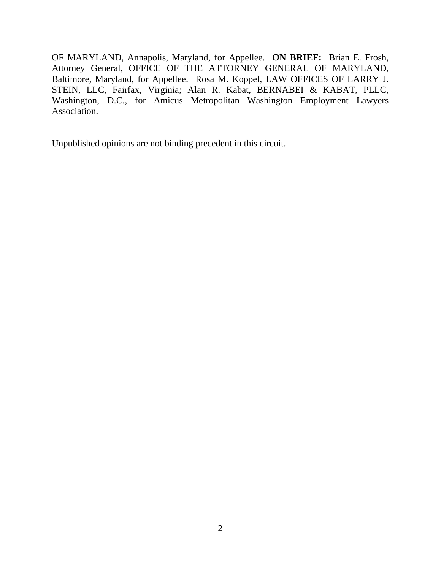OF MARYLAND, Annapolis, Maryland, for Appellee. **ON BRIEF:** Brian E. Frosh, Attorney General, OFFICE OF THE ATTORNEY GENERAL OF MARYLAND, Baltimore, Maryland, for Appellee. Rosa M. Koppel, LAW OFFICES OF LARRY J. STEIN, LLC, Fairfax, Virginia; Alan R. Kabat, BERNABEI & KABAT, PLLC, Washington, D.C., for Amicus Metropolitan Washington Employment Lawyers Association.

Unpublished opinions are not binding precedent in this circuit.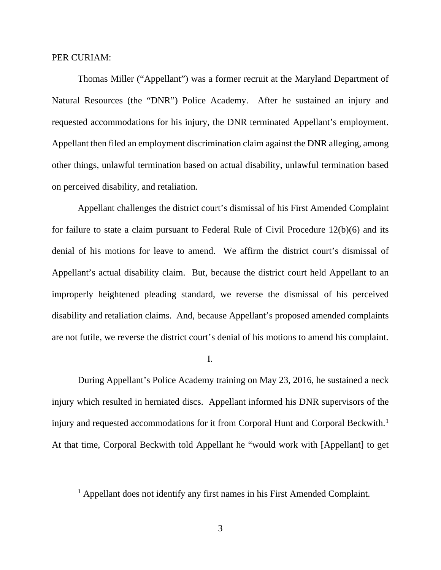### PER CURIAM:

Thomas Miller ("Appellant") was a former recruit at the Maryland Department of Natural Resources (the "DNR") Police Academy. After he sustained an injury and requested accommodations for his injury, the DNR terminated Appellant's employment. Appellant then filed an employment discrimination claim against the DNR alleging, among other things, unlawful termination based on actual disability, unlawful termination based on perceived disability, and retaliation.

Appellant challenges the district court's dismissal of his First Amended Complaint for failure to state a claim pursuant to Federal Rule of Civil Procedure 12(b)(6) and its denial of his motions for leave to amend. We affirm the district court's dismissal of Appellant's actual disability claim. But, because the district court held Appellant to an improperly heightened pleading standard, we reverse the dismissal of his perceived disability and retaliation claims. And, because Appellant's proposed amended complaints are not futile, we reverse the district court's denial of his motions to amend his complaint.

I.

During Appellant's Police Academy training on May 23, 2016, he sustained a neck injury which resulted in herniated discs. Appellant informed his DNR supervisors of the injury and requested accommodations for it from Corporal Hunt and Corporal Beckwith.<sup>[1](#page-2-0)</sup> At that time, Corporal Beckwith told Appellant he "would work with [Appellant] to get

<span id="page-2-0"></span><sup>&</sup>lt;sup>1</sup> Appellant does not identify any first names in his First Amended Complaint.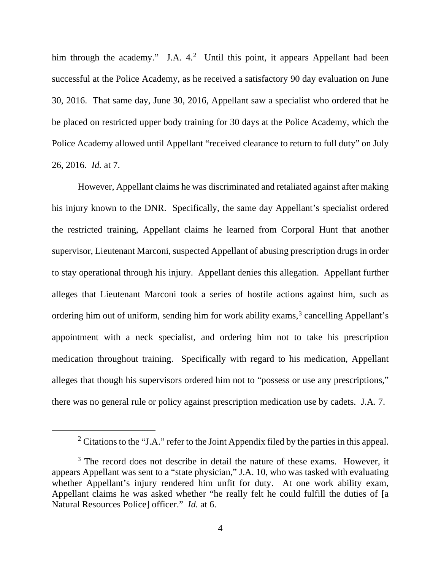him through the academy." J.A. 4.<sup>[2](#page-3-0)</sup> Until this point, it appears Appellant had been successful at the Police Academy, as he received a satisfactory 90 day evaluation on June 30, 2016. That same day, June 30, 2016, Appellant saw a specialist who ordered that he be placed on restricted upper body training for 30 days at the Police Academy, which the Police Academy allowed until Appellant "received clearance to return to full duty" on July 26, 2016. *Id.* at 7.

However, Appellant claims he was discriminated and retaliated against after making his injury known to the DNR. Specifically, the same day Appellant's specialist ordered the restricted training, Appellant claims he learned from Corporal Hunt that another supervisor, Lieutenant Marconi, suspected Appellant of abusing prescription drugs in order to stay operational through his injury. Appellant denies this allegation. Appellant further alleges that Lieutenant Marconi took a series of hostile actions against him, such as ordering him out of uniform, sending him for work ability exams, [3](#page-3-1) cancelling Appellant's appointment with a neck specialist, and ordering him not to take his prescription medication throughout training. Specifically with regard to his medication, Appellant alleges that though his supervisors ordered him not to "possess or use any prescriptions," there was no general rule or policy against prescription medication use by cadets. J.A. 7.

<sup>&</sup>lt;sup>2</sup> Citations to the "J.A." refer to the Joint Appendix filed by the parties in this appeal.

<span id="page-3-1"></span><span id="page-3-0"></span><sup>&</sup>lt;sup>3</sup> The record does not describe in detail the nature of these exams. However, it appears Appellant was sent to a "state physician," J.A. 10, who was tasked with evaluating whether Appellant's injury rendered him unfit for duty. At one work ability exam, Appellant claims he was asked whether "he really felt he could fulfill the duties of [a Natural Resources Police] officer." *Id.* at 6.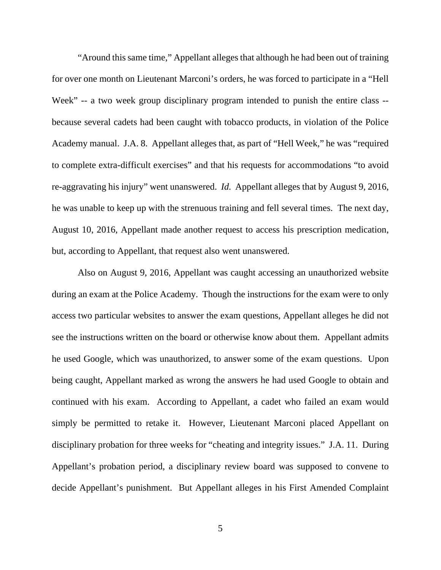"Around this same time," Appellant alleges that although he had been out of training for over one month on Lieutenant Marconi's orders, he was forced to participate in a "Hell Week" -- a two week group disciplinary program intended to punish the entire class - because several cadets had been caught with tobacco products, in violation of the Police Academy manual. J.A. 8. Appellant alleges that, as part of "Hell Week," he was "required to complete extra-difficult exercises" and that his requests for accommodations "to avoid re-aggravating his injury" went unanswered. *Id.* Appellant alleges that by August 9, 2016, he was unable to keep up with the strenuous training and fell several times. The next day, August 10, 2016, Appellant made another request to access his prescription medication, but, according to Appellant, that request also went unanswered.

Also on August 9, 2016, Appellant was caught accessing an unauthorized website during an exam at the Police Academy. Though the instructions for the exam were to only access two particular websites to answer the exam questions, Appellant alleges he did not see the instructions written on the board or otherwise know about them. Appellant admits he used Google, which was unauthorized, to answer some of the exam questions. Upon being caught, Appellant marked as wrong the answers he had used Google to obtain and continued with his exam. According to Appellant, a cadet who failed an exam would simply be permitted to retake it. However, Lieutenant Marconi placed Appellant on disciplinary probation for three weeks for "cheating and integrity issues." J.A. 11. During Appellant's probation period, a disciplinary review board was supposed to convene to decide Appellant's punishment. But Appellant alleges in his First Amended Complaint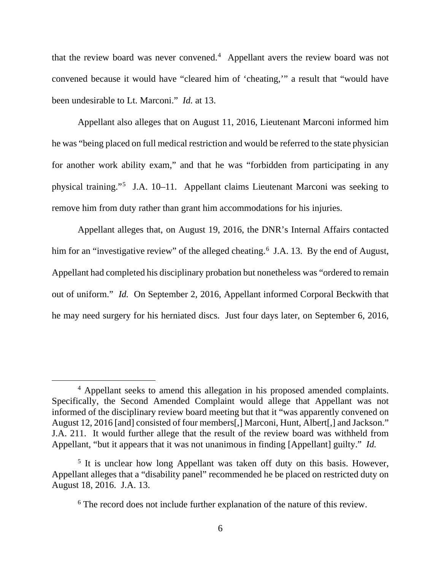that the review board was never convened. [4](#page-5-0) Appellant avers the review board was not convened because it would have "cleared him of 'cheating,'" a result that "would have been undesirable to Lt. Marconi." *Id.* at 13.

Appellant also alleges that on August 11, 2016, Lieutenant Marconi informed him he was "being placed on full medical restriction and would be referred to the state physician for another work ability exam," and that he was "forbidden from participating in any physical training."[5](#page-5-1) J.A. 10–11. Appellant claims Lieutenant Marconi was seeking to remove him from duty rather than grant him accommodations for his injuries.

Appellant alleges that, on August 19, 2016, the DNR's Internal Affairs contacted him for an "investigative review" of the alleged cheating.<sup>[6](#page-5-2)</sup> J.A. 13. By the end of August, Appellant had completed his disciplinary probation but nonetheless was "ordered to remain out of uniform." *Id.* On September 2, 2016, Appellant informed Corporal Beckwith that he may need surgery for his herniated discs. Just four days later, on September 6, 2016,

<span id="page-5-0"></span><sup>4</sup> Appellant seeks to amend this allegation in his proposed amended complaints. Specifically, the Second Amended Complaint would allege that Appellant was not informed of the disciplinary review board meeting but that it "was apparently convened on August 12, 2016 [and] consisted of four members[,] Marconi, Hunt, Albert[,] and Jackson." J.A. 211. It would further allege that the result of the review board was withheld from Appellant, "but it appears that it was not unanimous in finding [Appellant] guilty." *Id.*

<span id="page-5-2"></span><span id="page-5-1"></span><sup>&</sup>lt;sup>5</sup> It is unclear how long Appellant was taken off duty on this basis. However, Appellant alleges that a "disability panel" recommended he be placed on restricted duty on August 18, 2016. J.A. 13.

<sup>&</sup>lt;sup>6</sup> The record does not include further explanation of the nature of this review.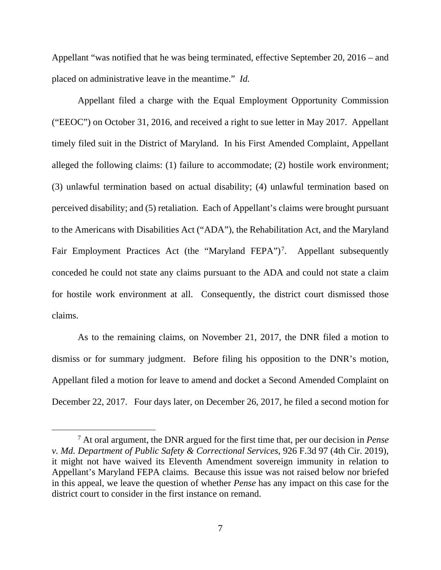Appellant "was notified that he was being terminated, effective September 20, 2016 – and placed on administrative leave in the meantime." *Id.*

Appellant filed a charge with the Equal Employment Opportunity Commission ("EEOC") on October 31, 2016, and received a right to sue letter in May 2017. Appellant timely filed suit in the District of Maryland. In his First Amended Complaint, Appellant alleged the following claims: (1) failure to accommodate; (2) hostile work environment; (3) unlawful termination based on actual disability; (4) unlawful termination based on perceived disability; and (5) retaliation. Each of Appellant's claims were brought pursuant to the Americans with Disabilities Act ("ADA"), the Rehabilitation Act, and the Maryland Fair Employment Practices Act (the "Maryland FEPA")<sup>[7](#page-6-0)</sup>. Appellant subsequently conceded he could not state any claims pursuant to the ADA and could not state a claim for hostile work environment at all. Consequently, the district court dismissed those claims.

As to the remaining claims, on November 21, 2017, the DNR filed a motion to dismiss or for summary judgment. Before filing his opposition to the DNR's motion, Appellant filed a motion for leave to amend and docket a Second Amended Complaint on December 22, 2017. Four days later, on December 26, 2017, he filed a second motion for

<span id="page-6-0"></span><sup>7</sup> At oral argument, the DNR argued for the first time that, per our decision in *Pense v. Md. Department of Public Safety & Correctional Services*, 926 F.3d 97 (4th Cir. 2019), it might not have waived its Eleventh Amendment sovereign immunity in relation to Appellant's Maryland FEPA claims. Because this issue was not raised below nor briefed in this appeal, we leave the question of whether *Pense* has any impact on this case for the district court to consider in the first instance on remand.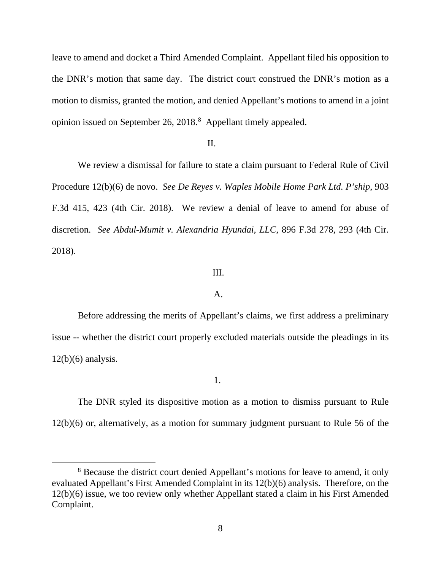leave to amend and docket a Third Amended Complaint. Appellant filed his opposition to the DNR's motion that same day. The district court construed the DNR's motion as a motion to dismiss, granted the motion, and denied Appellant's motions to amend in a joint opinion issued on September 26, 201[8](#page-7-0).<sup>8</sup> Appellant timely appealed.

# II.

We review a dismissal for failure to state a claim pursuant to Federal Rule of Civil Procedure 12(b)(6) de novo. *See De Reyes v. Waples Mobile Home Park Ltd. P'ship*, 903 F.3d 415, 423 (4th Cir. 2018). We review a denial of leave to amend for abuse of discretion. *See Abdul-Mumit v. Alexandria Hyundai, LLC*, 896 F.3d 278, 293 (4th Cir. 2018).

# III.

#### A.

Before addressing the merits of Appellant's claims, we first address a preliminary issue -- whether the district court properly excluded materials outside the pleadings in its  $12(b)(6)$  analysis.

1.

The DNR styled its dispositive motion as a motion to dismiss pursuant to Rule 12(b)(6) or, alternatively, as a motion for summary judgment pursuant to Rule 56 of the

<span id="page-7-0"></span><sup>&</sup>lt;sup>8</sup> Because the district court denied Appellant's motions for leave to amend, it only evaluated Appellant's First Amended Complaint in its 12(b)(6) analysis. Therefore, on the 12(b)(6) issue, we too review only whether Appellant stated a claim in his First Amended Complaint.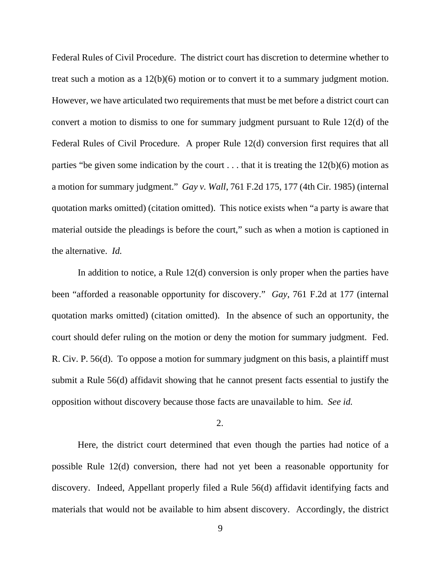Federal Rules of Civil Procedure. The district court has discretion to determine whether to treat such a motion as a 12(b)(6) motion or to convert it to a summary judgment motion. However, we have articulated two requirements that must be met before a district court can convert a motion to dismiss to one for summary judgment pursuant to Rule 12(d) of the Federal Rules of Civil Procedure. A proper Rule 12(d) conversion first requires that all parties "be given some indication by the court  $\dots$  that it is treating the 12(b)(6) motion as a motion for summary judgment." *Gay v. Wall*, 761 F.2d 175, 177 (4th Cir. 1985) (internal quotation marks omitted) (citation omitted). This notice exists when "a party is aware that material outside the pleadings is before the court," such as when a motion is captioned in the alternative. *Id.*

In addition to notice, a Rule 12(d) conversion is only proper when the parties have been "afforded a reasonable opportunity for discovery." *Gay*, 761 F.2d at 177 (internal quotation marks omitted) (citation omitted). In the absence of such an opportunity, the court should defer ruling on the motion or deny the motion for summary judgment. Fed. R. Civ. P. 56(d). To oppose a motion for summary judgment on this basis, a plaintiff must submit a Rule 56(d) affidavit showing that he cannot present facts essential to justify the opposition without discovery because those facts are unavailable to him. *See id.*

2.

Here, the district court determined that even though the parties had notice of a possible Rule 12(d) conversion, there had not yet been a reasonable opportunity for discovery. Indeed, Appellant properly filed a Rule 56(d) affidavit identifying facts and materials that would not be available to him absent discovery. Accordingly, the district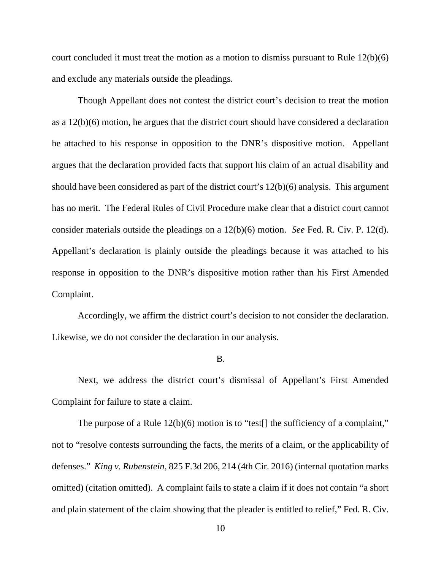court concluded it must treat the motion as a motion to dismiss pursuant to Rule 12(b)(6) and exclude any materials outside the pleadings.

Though Appellant does not contest the district court's decision to treat the motion as a 12(b)(6) motion, he argues that the district court should have considered a declaration he attached to his response in opposition to the DNR's dispositive motion. Appellant argues that the declaration provided facts that support his claim of an actual disability and should have been considered as part of the district court's 12(b)(6) analysis. This argument has no merit. The Federal Rules of Civil Procedure make clear that a district court cannot consider materials outside the pleadings on a 12(b)(6) motion. *See* Fed. R. Civ. P. 12(d). Appellant's declaration is plainly outside the pleadings because it was attached to his response in opposition to the DNR's dispositive motion rather than his First Amended Complaint.

Accordingly, we affirm the district court's decision to not consider the declaration. Likewise, we do not consider the declaration in our analysis.

### B.

Next, we address the district court's dismissal of Appellant's First Amended Complaint for failure to state a claim.

The purpose of a Rule  $12(b)(6)$  motion is to "test[] the sufficiency of a complaint," not to "resolve contests surrounding the facts, the merits of a claim, or the applicability of defenses." *King v. Rubenstein*, 825 F.3d 206, 214 (4th Cir. 2016) (internal quotation marks omitted) (citation omitted). A complaint fails to state a claim if it does not contain "a short and plain statement of the claim showing that the pleader is entitled to relief," Fed. R. Civ.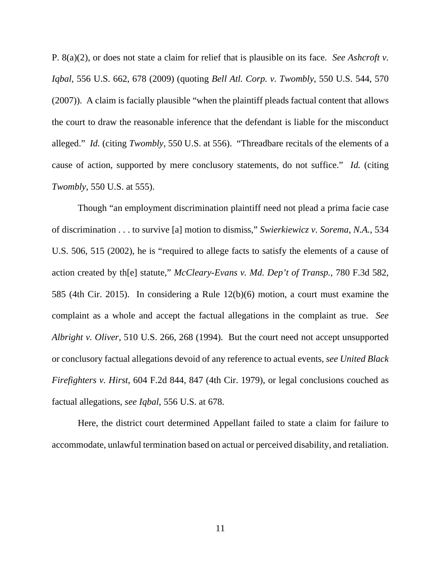P. 8(a)(2), or does not state a claim for relief that is plausible on its face. *See Ashcroft v. Iqbal*, 556 U.S. 662, 678 (2009) (quoting *Bell Atl. Corp. v. Twombly*, 550 U.S. 544, 570 (2007)). A claim is facially plausible "when the plaintiff pleads factual content that allows the court to draw the reasonable inference that the defendant is liable for the misconduct alleged." *Id.* (citing *Twombly*, 550 U.S. at 556). "Threadbare recitals of the elements of a cause of action, supported by mere conclusory statements, do not suffice." *Id.* (citing *Twombly*, 550 U.S. at 555).

Though "an employment discrimination plaintiff need not plead a prima facie case of discrimination . . . to survive [a] motion to dismiss," *Swierkiewicz v. Sorema, N.A.*, 534 U.S. 506, 515 (2002), he is "required to allege facts to satisfy the elements of a cause of action created by th[e] statute," *McCleary-Evans v. Md. Dep't of Transp.*, 780 F.3d 582, 585 (4th Cir. 2015). In considering a Rule 12(b)(6) motion, a court must examine the complaint as a whole and accept the factual allegations in the complaint as true. *See Albright v. Oliver*, 510 U.S. 266, 268 (1994). But the court need not accept unsupported or conclusory factual allegations devoid of any reference to actual events, *see United Black Firefighters v. Hirst*, 604 F.2d 844, 847 (4th Cir. 1979), or legal conclusions couched as factual allegations, *see Iqbal*, 556 U.S. at 678.

Here, the district court determined Appellant failed to state a claim for failure to accommodate, unlawful termination based on actual or perceived disability, and retaliation.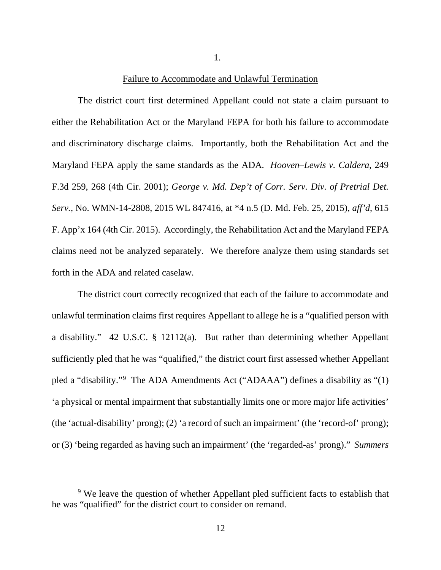Failure to Accommodate and Unlawful Termination

1.

The district court first determined Appellant could not state a claim pursuant to either the Rehabilitation Act or the Maryland FEPA for both his failure to accommodate and discriminatory discharge claims. Importantly, both the Rehabilitation Act and the Maryland FEPA apply the same standards as the ADA. *Hooven–Lewis v. Caldera*, 249 F.3d 259, 268 (4th Cir. 2001); *George v. Md. Dep't of Corr. Serv. Div. of Pretrial Det. Serv.*, No. WMN-14-2808, 2015 WL 847416, at \*4 n.5 (D. Md. Feb. 25, 2015), *aff'd*, 615 F. App'x 164 (4th Cir. 2015). Accordingly, the Rehabilitation Act and the Maryland FEPA claims need not be analyzed separately. We therefore analyze them using standards set forth in the ADA and related caselaw.

The district court correctly recognized that each of the failure to accommodate and unlawful termination claims first requires Appellant to allege he is a "qualified person with a disability." 42 U.S.C. § 12112(a). But rather than determining whether Appellant sufficiently pled that he was "qualified," the district court first assessed whether Appellant pled a "disability."[9](#page-11-0) The ADA Amendments Act ("ADAAA") defines a disability as "(1) 'a physical or mental impairment that substantially limits one or more major life activities' (the 'actual-disability' prong); (2) 'a record of such an impairment' (the 'record-of' prong); or (3) 'being regarded as having such an impairment' (the 'regarded-as' prong)." *Summers* 

<span id="page-11-0"></span><sup>&</sup>lt;sup>9</sup> We leave the question of whether Appellant pled sufficient facts to establish that he was "qualified" for the district court to consider on remand.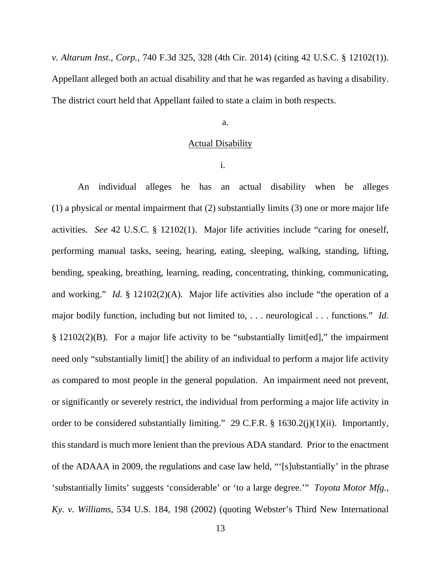*v. Altarum Inst., Corp.*, 740 F.3d 325, 328 (4th Cir. 2014) (citing 42 U.S.C. § 12102(1)). Appellant alleged both an actual disability and that he was regarded as having a disability. The district court held that Appellant failed to state a claim in both respects.

### a.

# **Actual Disability**

i.

An individual alleges he has an actual disability when he alleges (1) a physical or mental impairment that (2) substantially limits (3) one or more major life activities. *See* 42 U.S.C. § 12102(1). Major life activities include "caring for oneself, performing manual tasks, seeing, hearing, eating, sleeping, walking, standing, lifting, bending, speaking, breathing, learning, reading, concentrating, thinking, communicating, and working." *Id.* § 12102(2)(A). Major life activities also include "the operation of a major bodily function, including but not limited to, . . . neurological . . . functions." *Id.* § 12102(2)(B). For a major life activity to be "substantially limit[ed]," the impairment need only "substantially limit[] the ability of an individual to perform a major life activity as compared to most people in the general population. An impairment need not prevent, or significantly or severely restrict, the individual from performing a major life activity in order to be considered substantially limiting." 29 C.F.R. § 1630.2(j)(1)(ii). Importantly, this standard is much more lenient than the previous ADA standard. Prior to the enactment of the ADAAA in 2009, the regulations and case law held, "'[s]ubstantially' in the phrase 'substantially limits' suggests 'considerable' or 'to a large degree.'" *Toyota Motor Mfg., Ky. v. Williams*, 534 U.S. 184, 198 (2002) (quoting Webster's Third New International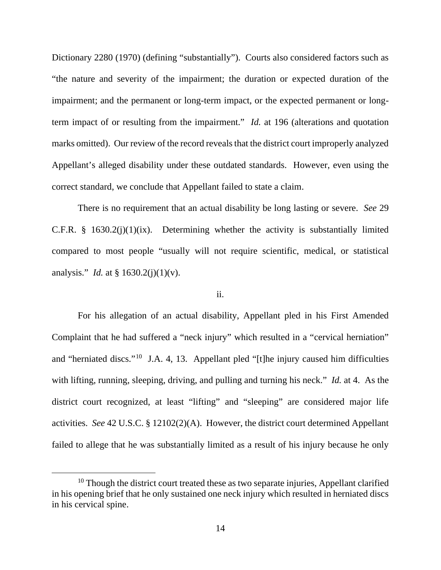Dictionary 2280 (1970) (defining "substantially"). Courts also considered factors such as "the nature and severity of the impairment; the duration or expected duration of the impairment; and the permanent or long-term impact, or the expected permanent or longterm impact of or resulting from the impairment." *Id.* at 196 (alterations and quotation marks omitted). Our review of the record reveals that the district court improperly analyzed Appellant's alleged disability under these outdated standards. However, even using the correct standard, we conclude that Appellant failed to state a claim.

There is no requirement that an actual disability be long lasting or severe. *See* 29 C.F.R.  $\S$  1630.2(j)(1)(ix). Determining whether the activity is substantially limited compared to most people "usually will not require scientific, medical, or statistical analysis." *Id.* at § 1630.2(j)(1)(v).

# ii.

For his allegation of an actual disability, Appellant pled in his First Amended Complaint that he had suffered a "neck injury" which resulted in a "cervical herniation" and "herniated discs."[10](#page-13-0) J.A. 4, 13. Appellant pled "[t]he injury caused him difficulties with lifting, running, sleeping, driving, and pulling and turning his neck." *Id.* at 4. As the district court recognized, at least "lifting" and "sleeping" are considered major life activities. *See* 42 U.S.C. § 12102(2)(A). However, the district court determined Appellant failed to allege that he was substantially limited as a result of his injury because he only

<span id="page-13-0"></span> $10$  Though the district court treated these as two separate injuries, Appellant clarified in his opening brief that he only sustained one neck injury which resulted in herniated discs in his cervical spine.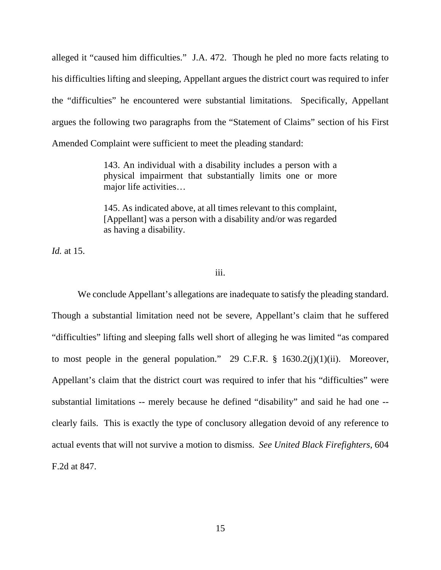alleged it "caused him difficulties." J.A. 472. Though he pled no more facts relating to his difficulties lifting and sleeping, Appellant argues the district court was required to infer the "difficulties" he encountered were substantial limitations. Specifically, Appellant argues the following two paragraphs from the "Statement of Claims" section of his First Amended Complaint were sufficient to meet the pleading standard:

> 143. An individual with a disability includes a person with a physical impairment that substantially limits one or more major life activities…

> 145. As indicated above, at all times relevant to this complaint, [Appellant] was a person with a disability and/or was regarded as having a disability.

*Id.* at 15.

# iii.

We conclude Appellant's allegations are inadequate to satisfy the pleading standard. Though a substantial limitation need not be severe, Appellant's claim that he suffered "difficulties" lifting and sleeping falls well short of alleging he was limited "as compared to most people in the general population." 29 C.F.R.  $\S$  1630.2(j)(1)(ii). Moreover, Appellant's claim that the district court was required to infer that his "difficulties" were substantial limitations -- merely because he defined "disability" and said he had one - clearly fails. This is exactly the type of conclusory allegation devoid of any reference to actual events that will not survive a motion to dismiss. *See United Black Firefighters*, 604 F.2d at 847.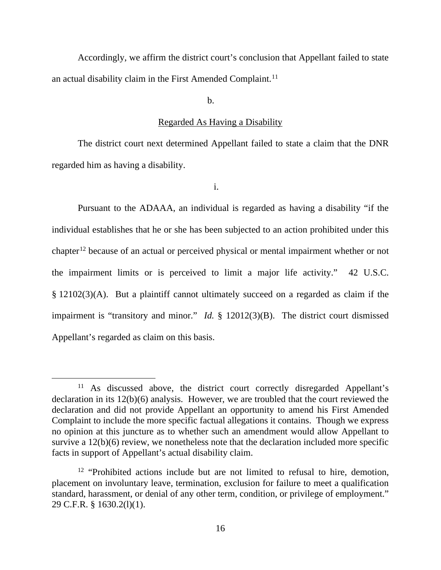Accordingly, we affirm the district court's conclusion that Appellant failed to state an actual disability claim in the First Amended Complaint.<sup>[11](#page-15-0)</sup>

b.

### Regarded As Having a Disability

The district court next determined Appellant failed to state a claim that the DNR regarded him as having a disability.

i.

Pursuant to the ADAAA, an individual is regarded as having a disability "if the individual establishes that he or she has been subjected to an action prohibited under this chapter<sup>[12](#page-15-1)</sup> because of an actual or perceived physical or mental impairment whether or not the impairment limits or is perceived to limit a major life activity." 42 U.S.C. § 12102(3)(A). But a plaintiff cannot ultimately succeed on a regarded as claim if the impairment is "transitory and minor." *Id.* § 12012(3)(B). The district court dismissed Appellant's regarded as claim on this basis.

<span id="page-15-0"></span><sup>&</sup>lt;sup>11</sup> As discussed above, the district court correctly disregarded Appellant's declaration in its 12(b)(6) analysis. However, we are troubled that the court reviewed the declaration and did not provide Appellant an opportunity to amend his First Amended Complaint to include the more specific factual allegations it contains. Though we express no opinion at this juncture as to whether such an amendment would allow Appellant to survive a  $12(b)(6)$  review, we nonetheless note that the declaration included more specific facts in support of Appellant's actual disability claim.

<span id="page-15-1"></span> $12$  "Prohibited actions include but are not limited to refusal to hire, demotion, placement on involuntary leave, termination, exclusion for failure to meet a qualification standard, harassment, or denial of any other term, condition, or privilege of employment." 29 C.F.R. § 1630.2(l)(1).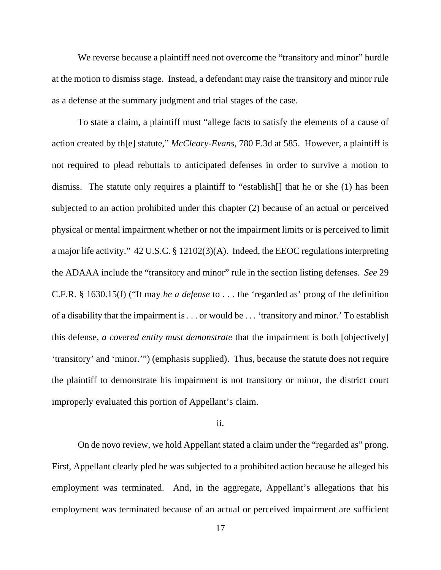We reverse because a plaintiff need not overcome the "transitory and minor" hurdle at the motion to dismiss stage. Instead, a defendant may raise the transitory and minor rule as a defense at the summary judgment and trial stages of the case.

To state a claim, a plaintiff must "allege facts to satisfy the elements of a cause of action created by th[e] statute," *McCleary-Evans*, 780 F.3d at 585. However, a plaintiff is not required to plead rebuttals to anticipated defenses in order to survive a motion to dismiss. The statute only requires a plaintiff to "establish[] that he or she (1) has been subjected to an action prohibited under this chapter (2) because of an actual or perceived physical or mental impairment whether or not the impairment limits or is perceived to limit a major life activity." 42 U.S.C. § 12102(3)(A). Indeed, the EEOC regulations interpreting the ADAAA include the "transitory and minor" rule in the section listing defenses. *See* 29 C.F.R. § 1630.15(f) ("It may *be a defense* to . . . the 'regarded as' prong of the definition of a disability that the impairment is . . . or would be . . . 'transitory and minor.' To establish this defense, *a covered entity must demonstrate* that the impairment is both [objectively] 'transitory' and 'minor.'") (emphasis supplied). Thus, because the statute does not require the plaintiff to demonstrate his impairment is not transitory or minor, the district court improperly evaluated this portion of Appellant's claim.

# ii.

On de novo review, we hold Appellant stated a claim under the "regarded as" prong. First, Appellant clearly pled he was subjected to a prohibited action because he alleged his employment was terminated. And, in the aggregate, Appellant's allegations that his employment was terminated because of an actual or perceived impairment are sufficient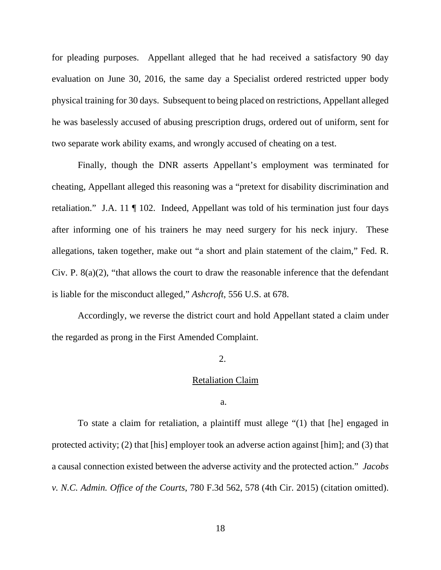for pleading purposes. Appellant alleged that he had received a satisfactory 90 day evaluation on June 30, 2016, the same day a Specialist ordered restricted upper body physical training for 30 days. Subsequent to being placed on restrictions, Appellant alleged he was baselessly accused of abusing prescription drugs, ordered out of uniform, sent for two separate work ability exams, and wrongly accused of cheating on a test.

Finally, though the DNR asserts Appellant's employment was terminated for cheating, Appellant alleged this reasoning was a "pretext for disability discrimination and retaliation." J.A. 11 ¶ 102. Indeed, Appellant was told of his termination just four days after informing one of his trainers he may need surgery for his neck injury. These allegations, taken together, make out "a short and plain statement of the claim," Fed. R. Civ. P. 8(a)(2), "that allows the court to draw the reasonable inference that the defendant is liable for the misconduct alleged," *Ashcroft*, 556 U.S. at 678.

Accordingly, we reverse the district court and hold Appellant stated a claim under the regarded as prong in the First Amended Complaint.

#### 2.

## Retaliation Claim

a.

To state a claim for retaliation, a plaintiff must allege "(1) that [he] engaged in protected activity; (2) that [his] employer took an adverse action against [him]; and (3) that a causal connection existed between the adverse activity and the protected action." *Jacobs v. N.C. Admin. Office of the Courts*, 780 F.3d 562, 578 (4th Cir. 2015) (citation omitted).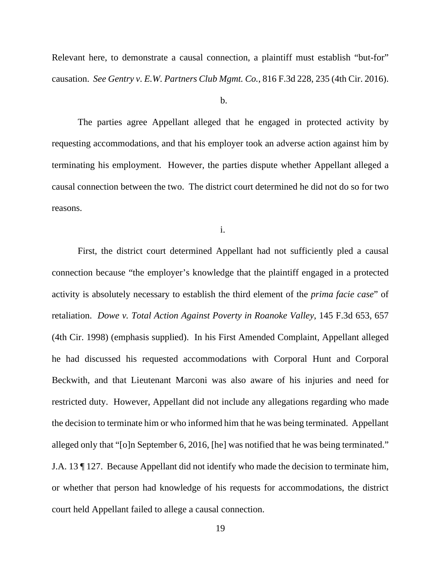Relevant here, to demonstrate a causal connection, a plaintiff must establish "but-for" causation. *See Gentry v. E.W. Partners Club Mgmt. Co.*, 816 F.3d 228, 235 (4th Cir. 2016).

#### b.

The parties agree Appellant alleged that he engaged in protected activity by requesting accommodations, and that his employer took an adverse action against him by terminating his employment. However, the parties dispute whether Appellant alleged a causal connection between the two. The district court determined he did not do so for two reasons.

i.

First, the district court determined Appellant had not sufficiently pled a causal connection because "the employer's knowledge that the plaintiff engaged in a protected activity is absolutely necessary to establish the third element of the *prima facie case*" of retaliation. *Dowe v. Total Action Against Poverty in Roanoke Valley*, 145 F.3d 653, 657 (4th Cir. 1998) (emphasis supplied). In his First Amended Complaint, Appellant alleged he had discussed his requested accommodations with Corporal Hunt and Corporal Beckwith, and that Lieutenant Marconi was also aware of his injuries and need for restricted duty. However, Appellant did not include any allegations regarding who made the decision to terminate him or who informed him that he was being terminated. Appellant alleged only that "[o]n September 6, 2016, [he] was notified that he was being terminated." J.A. 13 ¶ 127. Because Appellant did not identify who made the decision to terminate him, or whether that person had knowledge of his requests for accommodations, the district court held Appellant failed to allege a causal connection.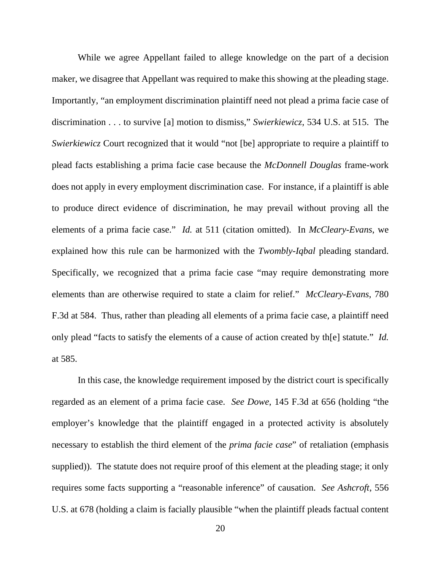While we agree Appellant failed to allege knowledge on the part of a decision maker, we disagree that Appellant was required to make this showing at the pleading stage. Importantly, "an employment discrimination plaintiff need not plead a prima facie case of discrimination . . . to survive [a] motion to dismiss," *Swierkiewicz*, 534 U.S. at 515. The *Swierkiewicz* Court recognized that it would "not [be] appropriate to require a plaintiff to plead facts establishing a prima facie case because the *McDonnell Douglas* frame-work does not apply in every employment discrimination case. For instance, if a plaintiff is able to produce direct evidence of discrimination, he may prevail without proving all the elements of a prima facie case." *Id.* at 511 (citation omitted). In *McCleary-Evans*, we explained how this rule can be harmonized with the *Twombly*-*Iqbal* pleading standard. Specifically, we recognized that a prima facie case "may require demonstrating more elements than are otherwise required to state a claim for relief." *McCleary-Evans*, 780 F.3d at 584. Thus, rather than pleading all elements of a prima facie case, a plaintiff need only plead "facts to satisfy the elements of a cause of action created by th[e] statute." *Id.* at 585.

In this case, the knowledge requirement imposed by the district court is specifically regarded as an element of a prima facie case. *See Dowe*, 145 F.3d at 656 (holding "the employer's knowledge that the plaintiff engaged in a protected activity is absolutely necessary to establish the third element of the *prima facie case*" of retaliation (emphasis supplied)). The statute does not require proof of this element at the pleading stage; it only requires some facts supporting a "reasonable inference" of causation. *See Ashcroft*, 556 U.S. at 678 (holding a claim is facially plausible "when the plaintiff pleads factual content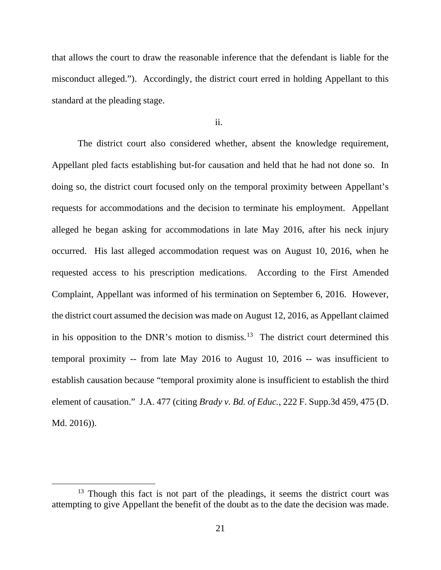that allows the court to draw the reasonable inference that the defendant is liable for the misconduct alleged."). Accordingly, the district court erred in holding Appellant to this standard at the pleading stage.

ii.

The district court also considered whether, absent the knowledge requirement, Appellant pled facts establishing but-for causation and held that he had not done so. In doing so, the district court focused only on the temporal proximity between Appellant's requests for accommodations and the decision to terminate his employment. Appellant alleged he began asking for accommodations in late May 2016, after his neck injury occurred. His last alleged accommodation request was on August 10, 2016, when he requested access to his prescription medications. According to the First Amended Complaint, Appellant was informed of his termination on September 6, 2016. However, the district court assumed the decision was made on August 12, 2016, as Appellant claimed in his opposition to the DNR's motion to dismiss.<sup>[13](#page-20-0)</sup> The district court determined this temporal proximity -- from late May 2016 to August 10, 2016 -- was insufficient to establish causation because "temporal proximity alone is insufficient to establish the third element of causation." J.A. 477 (citing *Brady v. Bd. of Educ.*, 222 F. Supp.3d 459, 475 (D. Md. 2016)).

<span id="page-20-0"></span> $13$  Though this fact is not part of the pleadings, it seems the district court was attempting to give Appellant the benefit of the doubt as to the date the decision was made.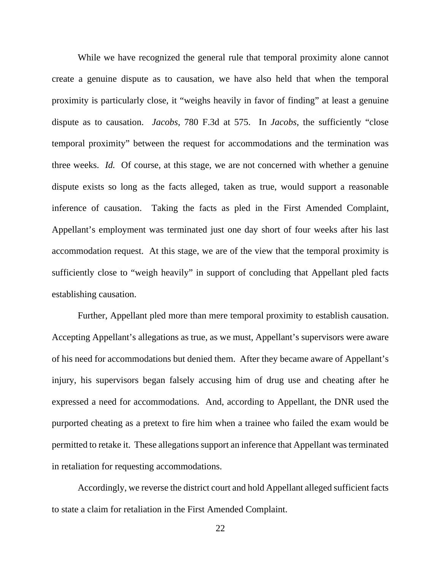While we have recognized the general rule that temporal proximity alone cannot create a genuine dispute as to causation, we have also held that when the temporal proximity is particularly close, it "weighs heavily in favor of finding" at least a genuine dispute as to causation. *Jacobs*, 780 F.3d at 575. In *Jacobs*, the sufficiently "close temporal proximity" between the request for accommodations and the termination was three weeks. *Id.* Of course, at this stage, we are not concerned with whether a genuine dispute exists so long as the facts alleged, taken as true, would support a reasonable inference of causation. Taking the facts as pled in the First Amended Complaint, Appellant's employment was terminated just one day short of four weeks after his last accommodation request. At this stage, we are of the view that the temporal proximity is sufficiently close to "weigh heavily" in support of concluding that Appellant pled facts establishing causation.

Further, Appellant pled more than mere temporal proximity to establish causation. Accepting Appellant's allegations as true, as we must, Appellant's supervisors were aware of his need for accommodations but denied them. After they became aware of Appellant's injury, his supervisors began falsely accusing him of drug use and cheating after he expressed a need for accommodations. And, according to Appellant, the DNR used the purported cheating as a pretext to fire him when a trainee who failed the exam would be permitted to retake it. These allegations support an inference that Appellant was terminated in retaliation for requesting accommodations.

Accordingly, we reverse the district court and hold Appellant alleged sufficient facts to state a claim for retaliation in the First Amended Complaint.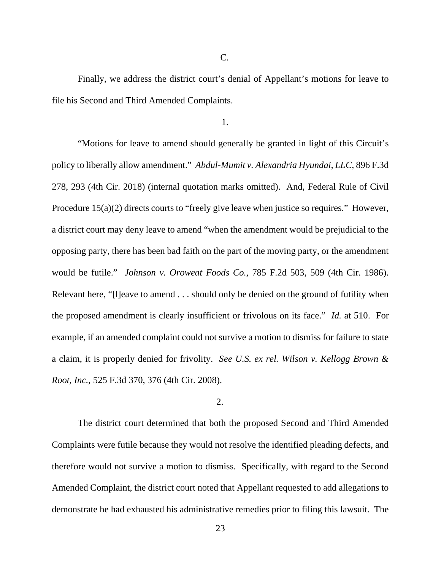C.

Finally, we address the district court's denial of Appellant's motions for leave to file his Second and Third Amended Complaints.

1.

"Motions for leave to amend should generally be granted in light of this Circuit's policy to liberally allow amendment." *Abdul-Mumit v. Alexandria Hyundai, LLC*, 896 F.3d 278, 293 (4th Cir. 2018) (internal quotation marks omitted). And, Federal Rule of Civil Procedure 15(a)(2) directs courts to "freely give leave when justice so requires." However, a district court may deny leave to amend "when the amendment would be prejudicial to the opposing party, there has been bad faith on the part of the moving party, or the amendment would be futile." *Johnson v. Oroweat Foods Co.*, 785 F.2d 503, 509 (4th Cir. 1986). Relevant here, "[l]eave to amend . . . should only be denied on the ground of futility when the proposed amendment is clearly insufficient or frivolous on its face." *Id.* at 510. For example, if an amended complaint could not survive a motion to dismiss for failure to state a claim, it is properly denied for frivolity. *See U.S. ex rel. Wilson v. Kellogg Brown & Root, Inc.*, 525 F.3d 370, 376 (4th Cir. 2008).

### 2.

The district court determined that both the proposed Second and Third Amended Complaints were futile because they would not resolve the identified pleading defects, and therefore would not survive a motion to dismiss. Specifically, with regard to the Second Amended Complaint, the district court noted that Appellant requested to add allegations to demonstrate he had exhausted his administrative remedies prior to filing this lawsuit. The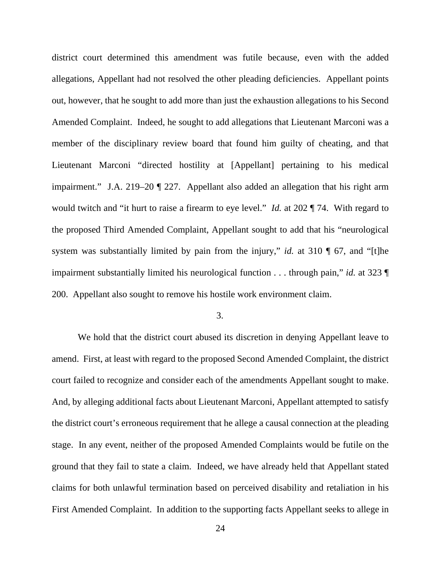district court determined this amendment was futile because, even with the added allegations, Appellant had not resolved the other pleading deficiencies. Appellant points out, however, that he sought to add more than just the exhaustion allegations to his Second Amended Complaint. Indeed, he sought to add allegations that Lieutenant Marconi was a member of the disciplinary review board that found him guilty of cheating, and that Lieutenant Marconi "directed hostility at [Appellant] pertaining to his medical impairment." J.A. 219–20 ¶ 227. Appellant also added an allegation that his right arm would twitch and "it hurt to raise a firearm to eye level." *Id.* at 202 ¶ 74. With regard to the proposed Third Amended Complaint, Appellant sought to add that his "neurological system was substantially limited by pain from the injury," *id.* at 310 ¶ 67, and "[t]he impairment substantially limited his neurological function . . . through pain," *id.* at 323 ¶ 200. Appellant also sought to remove his hostile work environment claim.

## 3.

We hold that the district court abused its discretion in denying Appellant leave to amend. First, at least with regard to the proposed Second Amended Complaint, the district court failed to recognize and consider each of the amendments Appellant sought to make. And, by alleging additional facts about Lieutenant Marconi, Appellant attempted to satisfy the district court's erroneous requirement that he allege a causal connection at the pleading stage. In any event, neither of the proposed Amended Complaints would be futile on the ground that they fail to state a claim. Indeed, we have already held that Appellant stated claims for both unlawful termination based on perceived disability and retaliation in his First Amended Complaint. In addition to the supporting facts Appellant seeks to allege in